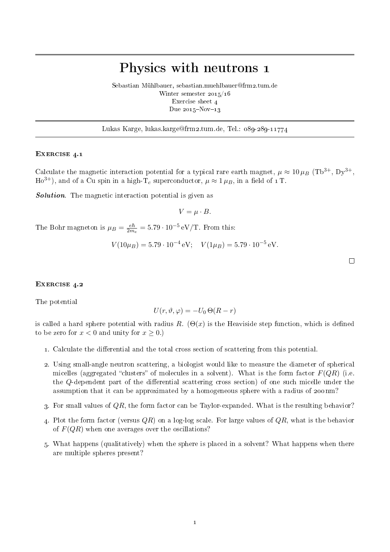## Physics with neutrons 1

Sebastian Mühlbauer, sebastian.muehlbauer@frm2.tum.de Winter semester 2015/16 Exercise sheet 4 Due  $2015 - Nov-13$ 

Lukas Karge, lukas.karge@frm2.tum.de, Tel.: 089-289-11774

## EXERCISE 4.1

Calculate the magnetic interaction potential for a typical rare earth magnet,  $\mu \approx 10 \mu_B$  (Tb<sup>3+</sup>, Dy<sup>3+</sup>, Ho<sup>3+</sup>), and of a Cu spin in a high-T<sub>c</sub> superconductor,  $\mu \approx 1 \mu_B$ , in a field of 1T.

**Solution**. The magnetic interaction potential is given as

$$
V = \mu \cdot B.
$$

The Bohr magneton is  $\mu_B = \frac{e\hbar}{2m}$  $\frac{e\hbar}{2m_e} = 5.79 \cdot 10^{-5} \,\text{eV/T}$ . From this:

$$
V(10\mu_B) = 5.79 \cdot 10^{-4} \,\text{eV}; \quad V(1\mu_B) = 5.79 \cdot 10^{-5} \,\text{eV}.
$$

 $\Box$ 

## EXERCISE 4.2

The potential

$$
U(r, \vartheta, \varphi) = -U_0 \Theta(R - r)
$$

is called a hard sphere potential with radius R.  $(\Theta(x))$  is the Heaviside step function, which is defined to be zero for  $x < 0$  and unity for  $x \geq 0$ .)

- 1. Calculate the differential and the total cross section of scattering from this potential.
- 2. Using small-angle neutron scattering, a biologist would like to measure the diameter of spherical micelles (aggregated "clusters" of molecules in a solvent). What is the form factor  $F(QR)$  (i.e. the  $Q$ -dependent part of the differential scattering cross section) of one such micelle under the assumption that it can be approximated by a homogeneous sphere with a radius of 200 nm?
- 3. For small values of  $QR$ , the form factor can be Taylor-expanded. What is the resulting behavior?
- 4. Plot the form factor (versus  $QR$ ) on a log-log scale. For large values of  $QR$ , what is the behavior of  $F(QR)$  when one averages over the oscillations?
- 5. What happens (qualitatively) when the sphere is placed in a solvent? What happens when there are multiple spheres present?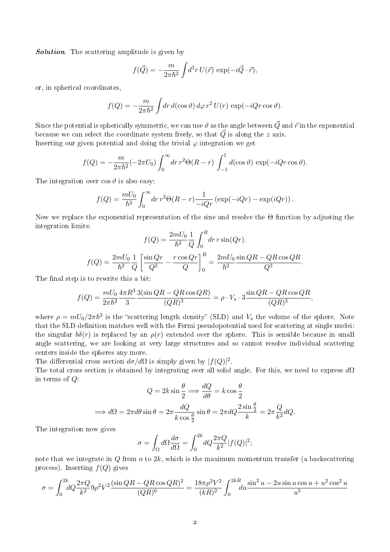Solution. The scattering amplitude is given by

$$
f(\vec{Q}) = -\frac{m}{2\pi\hbar^2} \int d^3r \, U(\vec{r}) \, \exp(-i\vec{Q} \cdot \vec{r}),
$$

or, in spherical coordinates,

$$
f(Q) = -\frac{m}{2\pi\hbar^2} \int dr \, d(\cos\vartheta) \, d\varphi \, r^2 \, U(r) \, \exp(-iQr\cos\vartheta).
$$

Since the potential is spherically symmetric, we can use  $\vartheta$  as the angle between  $\vec{Q}$  and  $\vec{r}$  in the exponential because we can select the coordinate system freely, so that  $\vec{Q}$  is along the z axis. Inserting our given potential and doing the trivial  $\varphi$  integration we get

$$
f(Q) = -\frac{m}{2\pi\hbar^2}(-2\pi U_0)\int_0^\infty dr\,r^2\Theta(R-r)\int_{-1}^1 d(\cos\vartheta)\,\exp(-iQr\cos\vartheta).
$$

The integration over  $\cos \vartheta$  is also easy:

$$
f(Q) = \frac{mU_0}{\hbar^2} \int_0^\infty dr \, r^2 \Theta(R-r) \frac{1}{-iQr} \left( \exp(-iQr) - \exp(iQr) \right).
$$

Now we replace the exponential representation of the sine and resolve the Θ function by adjusting the integration limits:

$$
f(Q) = \frac{2mU_0}{\hbar^2} \frac{1}{Q} \int_0^R dr \, r \sin(Qr).
$$

$$
f(Q) = \frac{2mU_0}{\hbar^2} \frac{1}{Q} \left[ \frac{\sin Qr}{Q^2} - \frac{r \cos Qr}{Q} \right]_0^R = \frac{2mU_0}{\hbar^2} \frac{\sin QR - QR \cos QR}{Q^3}.
$$

The final step is to rewrite this a bit:

$$
f(Q) = \frac{mU_0}{2\pi\hbar^2} \frac{4\pi R^3}{3} \frac{3(\sin QR - QR\cos QR)}{(QR)^3} = \rho \cdot V_s \cdot 3 \frac{\sin QR - QR\cos QR}{(QR)^3},
$$

where  $\rho = mU_0/2\pi\hbar^2$  is the "scattering length density" (SLD) and  $V_s$  the volume of the sphere. Note that the SLD definition matches well with the Fermi pseudopotential used for scattering at single nuclei: the singular  $b\delta(r)$  is replaced by an  $\rho(r)$  extended over the sphere. This is sensible because in small angle scattering, we are looking at very large structures and so cannot resolve individual scattering centers inside the spheres any more.

The differential cross section  $d\sigma/d\Omega$  is simply given by  $|f(Q)|^2$ .

The total cross section is obtained by integrating over all solid angle. For this, we need to express  $d\Omega$ in terms of Q:  $\overline{a}$ 

$$
Q = 2k \sin \frac{\theta}{2} \Longrightarrow \frac{dQ}{d\theta} = k \cos \frac{\theta}{2}
$$

$$
\Longrightarrow d\Omega = 2\pi d\theta \sin \theta = 2\pi \frac{dQ}{k \cos \frac{\theta}{2}} \sin \theta = 2\pi dQ \frac{2 \sin \frac{\theta}{2}}{k} = 2\pi \frac{Q}{k^2} dQ.
$$

The integration now gives

$$
\sigma = \int_{\Omega} d\Omega \frac{d\sigma}{d\Omega} = \int_0^{2k} dQ \frac{2\pi Q}{k^2} |f(Q)|^2;
$$

note that we integrate in  $Q$  from 0 to  $2k$ , which is the maximum momentum transfer (a backscattering process). Inserting  $f(Q)$  gives

$$
\sigma = \int_0^{2k} dQ \frac{2\pi Q}{k^2} 9\rho^2 V^2 \frac{(\sin QR - QR \cos QR)^2}{(QR)^6} = \frac{18\pi \rho^2 V^2}{(kR)^2} \int_0^{2kR} du \frac{\sin^2 u - 2u \sin u \cos u + u^2 \cos^2 u}{u^5}
$$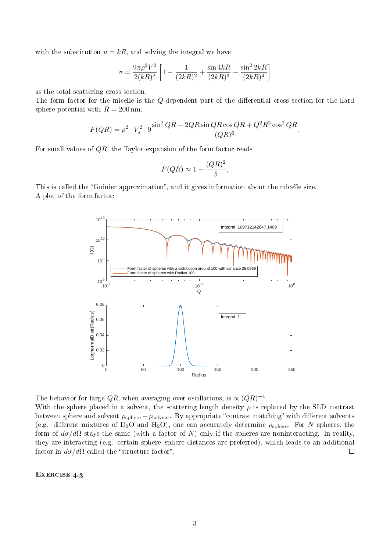with the substitution  $u = kR$ , and solving the integral we have

$$
\sigma = \frac{9\pi\rho^2 V^2}{2(kR)^2} \left[ 1 - \frac{1}{(2kR)^2} + \frac{\sin 4kR}{(2kR)^3} - \frac{\sin^2 2kR}{(2kR)^4} \right]
$$

as the total scattering cross section.

The form factor for the micelle is the Q-dependent part of the differential cross section for the hard sphere potential with  $R = 200$  nm:

$$
F(QR) = \rho^2 \cdot V_s^2 \cdot 9 \frac{\sin^2 QR - 2QR \sin QR \cos QR + Q^2 R^2 \cos^2 QR}{(QR)^6}.
$$

For small values of  $QR$ , the Taylor expansion of the form factor reads

$$
F(QR) \approx 1 - \frac{(QR)^2}{5},
$$

This is called the "Guinier approximation", and it gives information about the micelle size. A plot of the form factor:



The behavior for large QR, when averaging over oscillations, is  $\propto (QR)^{-4}$ .

With the sphere placed in a solvent, the scattering length density  $\rho$  is replaced by the SLD contrast between sphere and solvent  $\rho_{\text{sphere}} - \rho_{\text{solvent}}$ . By appropriate "contrast matching" with different solvents (e.g. different mixtures of D<sub>2</sub>O and H<sub>2</sub>O), one can accurately determine  $\rho_{\text{sphere}}$ . For N spheres, the form of  $d\sigma/d\Omega$  stays the same (with a factor of N) only if the spheres are noninteracting. In reality, they are interacting (e.g. certain sphere-sphere distances are preferred), which leads to an additional factor in  $d\sigma/d\Omega$  called the "structure factor".  $\Box$ 

EXERCISE 4.3